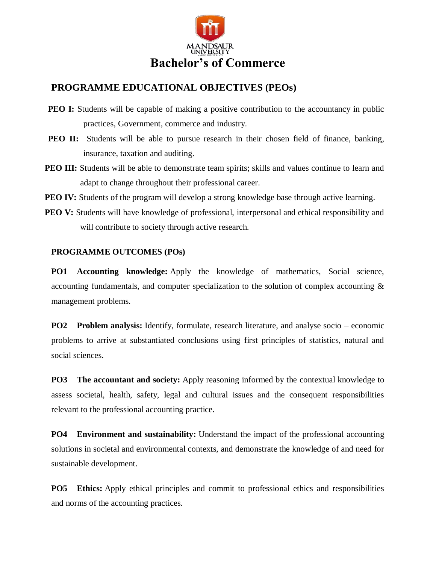

## **PROGRAMME EDUCATIONAL OBJECTIVES (PEOs)**

- **PEO I:** Students will be capable of making a positive contribution to the accountancy in public practices, Government, commerce and industry.
- **PEO II:** Students will be able to pursue research in their chosen field of finance, banking, insurance, taxation and auditing.
- **PEO III:** Students will be able to demonstrate team spirits; skills and values continue to learn and adapt to change throughout their professional career.
- **PEO IV:** Students of the program will develop a strong knowledge base through active learning.
- **PEO V:** Students will have knowledge of professional, interpersonal and ethical responsibility and will contribute to society through active research.

## **PROGRAMME OUTCOMES (POs)**

**PO1 Accounting knowledge:** Apply the knowledge of mathematics, Social science, accounting fundamentals, and computer specialization to the solution of complex accounting & management problems.

**PO2 Problem analysis:** Identify, formulate, research literature, and analyse socio – economic problems to arrive at substantiated conclusions using first principles of statistics, natural and social sciences.

**PO3 The accountant and society:** Apply reasoning informed by the contextual knowledge to assess societal, health, safety, legal and cultural issues and the consequent responsibilities relevant to the professional accounting practice.

**PO4 Environment and sustainability:** Understand the impact of the professional accounting solutions in societal and environmental contexts, and demonstrate the knowledge of and need for sustainable development.

**PO5 Ethics:** Apply ethical principles and commit to professional ethics and responsibilities and norms of the accounting practices.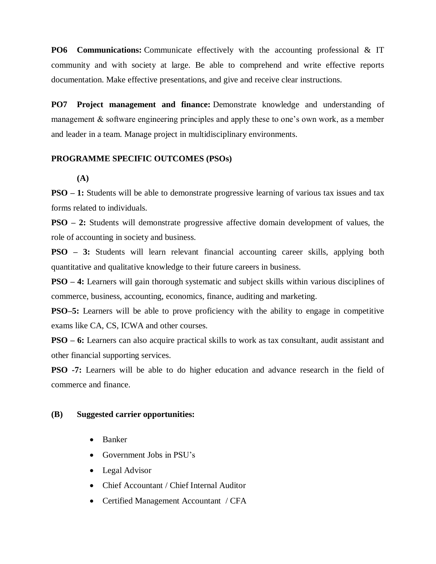**PO6 Communications:** Communicate effectively with the accounting professional & IT community and with society at large. Be able to comprehend and write effective reports documentation. Make effective presentations, and give and receive clear instructions.

**PO7 Project management and finance:** Demonstrate knowledge and understanding of management & software engineering principles and apply these to one's own work, as a member and leader in a team. Manage project in multidisciplinary environments.

## **PROGRAMME SPECIFIC OUTCOMES (PSOs)**

**(A)**

**PSO – 1:** Students will be able to demonstrate progressive learning of various tax issues and tax forms related to individuals.

**PSO – 2:** Students will demonstrate progressive affective domain development of values, the role of accounting in society and business.

**PSO – 3:** Students will learn relevant financial accounting career skills, applying both quantitative and qualitative knowledge to their future careers in business.

**PSO – 4:** Learners will gain thorough systematic and subject skills within various disciplines of commerce, business, accounting, economics, finance, auditing and marketing.

**PSO–5:** Learners will be able to prove proficiency with the ability to engage in competitive exams like CA, CS, ICWA and other courses.

**PSO – 6:** Learners can also acquire practical skills to work as tax consultant, audit assistant and other financial supporting services.

**PSO -7:** Learners will be able to do higher education and advance research in the field of commerce and finance.

## **(B) Suggested carrier opportunities:**

- Banker
- Government Jobs in PSU's
- Legal Advisor
- Chief Accountant / Chief Internal Auditor
- Certified Management Accountant / CFA